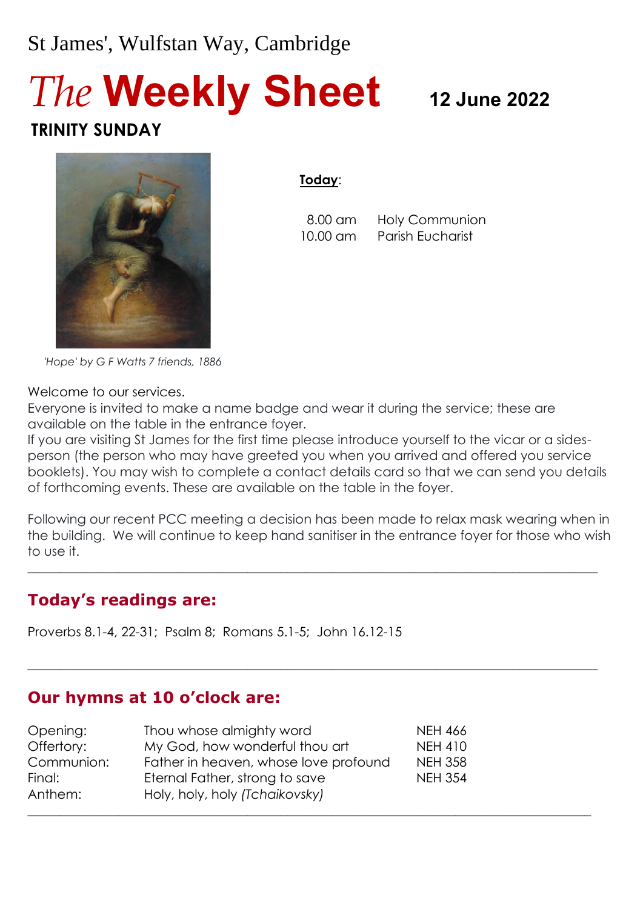# St James', Wulfstan Way, Cambridge

# *The* **Weekly Sheet <sup>12</sup> June <sup>2022</sup> TRINITY SUNDAY**



**Today**:

 8.00 am Holy Communion 10.00 am Parish Eucharist

 *'Hope' by G F Watts 7 friends, 1886*

Welcome to our services.

Everyone is invited to make a name badge and wear it during the service; these are available on the table in the entrance foyer.

If you are visiting St James for the first time please introduce yourself to the vicar or a sidesperson (the person who may have greeted you when you arrived and offered you service booklets). You may wish to complete a contact details card so that we can send you details of forthcoming events. These are available on the table in the foyer.

Following our recent PCC meeting a decision has been made to relax mask wearing when in the building. We will continue to keep hand sanitiser in the entrance foyer for those who wish to use it.

 $\_$  , and the set of the set of the set of the set of the set of the set of the set of the set of the set of the set of the set of the set of the set of the set of the set of the set of the set of the set of the set of th

 $\_$  , and the set of the set of the set of the set of the set of the set of the set of the set of the set of the set of the set of the set of the set of the set of the set of the set of the set of the set of the set of th

#### **Today's readings are:**

Proverbs 8.1-4, 22-31; Psalm 8; Romans 5.1-5; John 16.12-15

#### **Our hymns at 10 o'clock are:**

| Opening:          | Thou whose almighty word                                         | <b>NEH 466</b> |
|-------------------|------------------------------------------------------------------|----------------|
| Offertory:        | My God, how wonderful thou art                                   | <b>NEH 410</b> |
| Communion:        | Father in heaven, whose love profound                            | <b>NEH 358</b> |
| Final:<br>Anthem: | Eternal Father, strong to save<br>Holy, holy, holy (Tchaikovsky) | <b>NEH 354</b> |
|                   |                                                                  |                |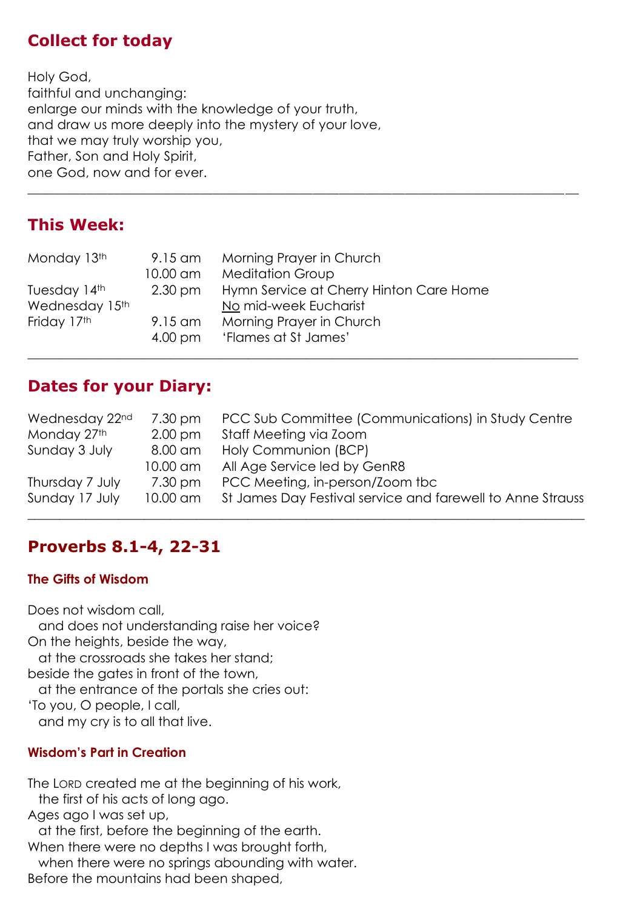#### **Collect for today**

Holy God, faithful and unchanging: enlarge our minds with the knowledge of your truth, and draw us more deeply into the mystery of your love, that we may truly worship you, Father, Son and Holy Spirit, one God, now and for ever.

#### **This Week:**

| Monday 13th    | 9.15 am           | Morning Prayer in Church                |
|----------------|-------------------|-----------------------------------------|
|                | 10.00 am          | <b>Meditation Group</b>                 |
| Tuesday 14th   | $2.30 \text{ pm}$ | Hymn Service at Cherry Hinton Care Home |
| Wednesday 15th |                   | No mid-week Eucharist                   |
| Friday 17th    | 9.15 am           | Morning Prayer in Church                |
|                | $4.00 \text{ pm}$ | 'Flames at St James'                    |
|                |                   |                                         |

#### **Dates for your Diary:**

| Wednesday 22nd<br>Monday 27th | 7.30 pm<br>$2.00 \text{ pm}$ | PCC Sub Committee (Communications) in Study Centre<br>Staff Meeting via Zoom |
|-------------------------------|------------------------------|------------------------------------------------------------------------------|
| Sunday 3 July                 | 8.00 am                      | Holy Communion (BCP)                                                         |
|                               | 10.00 am                     | All Age Service led by GenR8                                                 |
| Thursday 7 July               | 7.30 pm                      | PCC Meeting, in-person/Zoom tbc                                              |
| Sunday 17 July                | 10.00 am                     | St James Day Festival service and farewell to Anne Strauss                   |

\_\_\_\_\_\_\_\_\_\_\_\_\_\_\_\_\_\_\_\_\_\_\_\_\_\_\_\_\_\_\_\_\_\_\_\_\_\_\_\_\_\_\_\_\_\_\_\_\_\_\_\_\_\_\_\_\_\_\_\_\_\_\_\_\_\_\_\_\_\_\_\_\_\_\_\_\_\_\_\_\_\_\_

# **Proverbs 8.1-4, 22-31**

#### **The Gifts of Wisdom**

Does not wisdom call, and does not understanding raise her voice? On the heights, beside the way, at the crossroads she takes her stand; beside the gates in front of the town, at the entrance of the portals she cries out: 'To you, O people, I call, and my cry is to all that live.

#### **Wisdom's Part in Creation**

The LORD created me at the beginning of his work, the first of his acts of long ago. Ages ago I was set up, at the first, before the beginning of the earth. When there were no depths I was brought forth, when there were no springs abounding with water. Before the mountains had been shaped,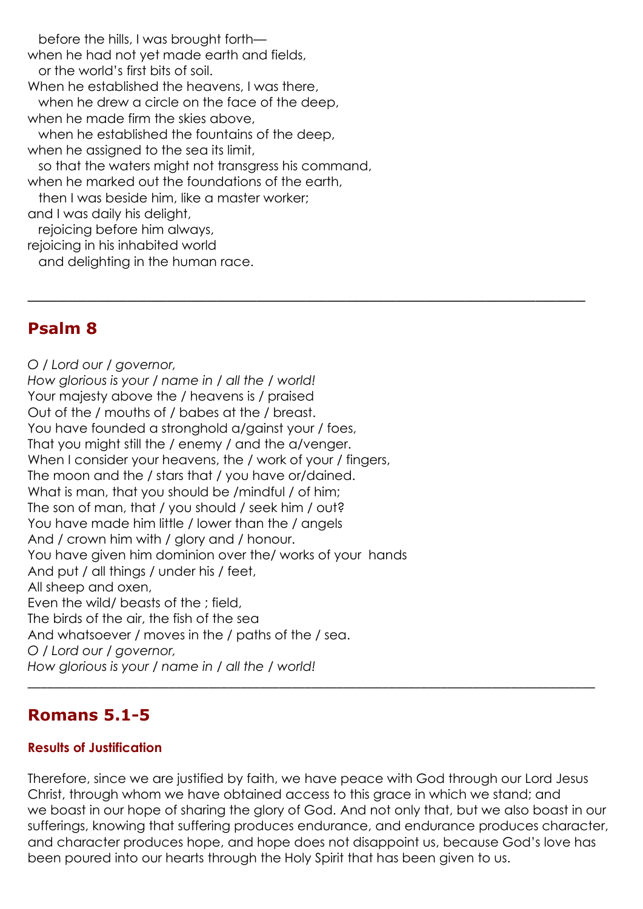before the hills, I was brought forth when he had not yet made earth and fields, or the world's first bits of soil. When he established the heavens, I was there, when he drew a circle on the face of the deep, when he made firm the skies above, when he established the fountains of the deep, when he assigned to the sea its limit, so that the waters might not transgress his command, when he marked out the foundations of the earth, then I was beside him, like a master worker; and I was daily his delight, rejoicing before him always, rejoicing in his inhabited world and delighting in the human race.

#### **Psalm 8**

*O / Lord our / governor, How glorious is your / name in / all the / world!* Your majesty above the / heavens is / praised Out of the / mouths of / babes at the / breast. You have founded a stronghold a/gainst your / foes, That you might still the / enemy / and the a/venger. When I consider your heavens, the / work of your / fingers, The moon and the / stars that / you have or/dained. What is man, that you should be /mindful / of him; The son of man, that / you should / seek him / out? You have made him little / lower than the / angels And / crown him with / glory and / honour. You have given him dominion over the/ works of your hands And put / all things / under his / feet, All sheep and oxen, Even the wild/ beasts of the ; field, The birds of the air, the fish of the sea And whatsoever / moves in the / paths of the / sea. *O / Lord our / governor, How glorious is your / name in / all the / world!* \_\_\_\_\_\_\_\_\_\_\_\_\_\_\_\_\_\_\_\_\_\_\_\_\_\_\_\_\_\_\_\_\_\_\_\_\_\_\_\_\_\_\_\_\_\_\_\_\_\_\_\_\_\_\_\_\_\_\_\_\_\_\_\_\_\_\_\_\_\_\_\_\_\_\_\_\_\_\_\_\_\_\_\_\_\_\_\_

#### **Romans 5.1-5**

#### **Results of Justification**

Therefore, since we are justified by faith, we have peace with God through our Lord Jesus Christ, through whom we have obtained access to this grace in which we stand; and we boast in our hope of sharing the glory of God. And not only that, but we also boast in our sufferings, knowing that suffering produces endurance, and endurance produces character, and character produces hope, and hope does not disappoint us, because God's love has been poured into our hearts through the Holy Spirit that has been given to us.

\_\_\_\_\_\_\_\_\_\_\_\_\_\_\_\_\_\_\_\_\_\_\_\_\_\_\_\_\_\_\_\_\_\_\_\_\_\_\_\_\_\_\_\_\_\_\_\_\_\_\_\_\_\_\_\_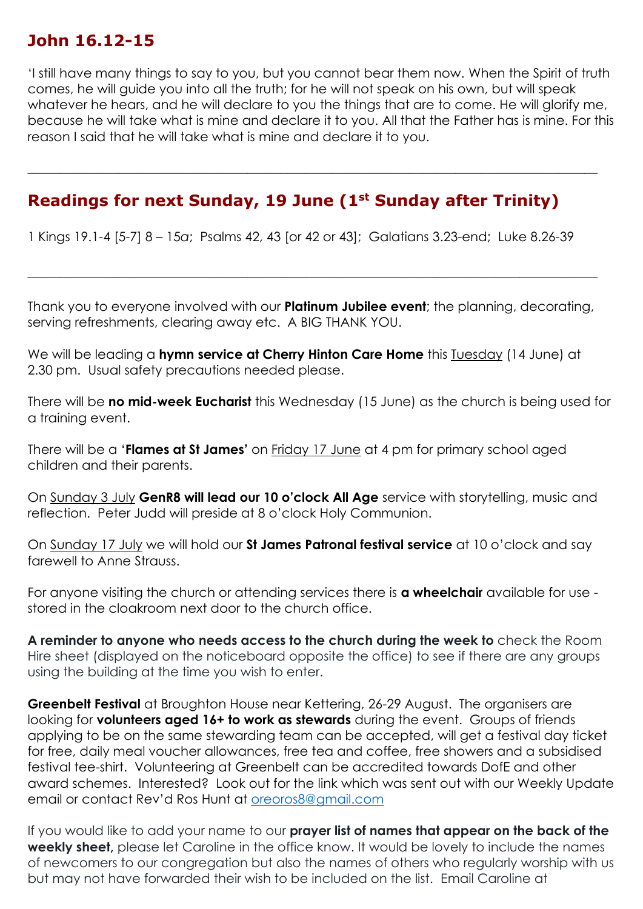## **John 16.12-15**

'I still have many things to say to you, but you cannot bear them now. When the Spirit of truth comes, he will guide you into all the truth; for he will not speak on his own, but will speak whatever he hears, and he will declare to you the things that are to come. He will alorify me, because he will take what is mine and declare it to you. All that the Father has is mine. For this reason I said that he will take what is mine and declare it to you.

 $\_$  , and the set of the set of the set of the set of the set of the set of the set of the set of the set of the set of the set of the set of the set of the set of the set of the set of the set of the set of the set of th

## **Readings for next Sunday, 19 June (1st Sunday after Trinity)**

1 Kings 19.1-4 [5-7] 8 – 15*a*; Psalms 42, 43 [or 42 or 43]; Galatians 3.23-end; Luke 8.26-39

Thank you to everyone involved with our **Platinum Jubilee event**; the planning, decorating, serving refreshments, clearing away etc. A BIG THANK YOU.

 $\_$  , and the set of the set of the set of the set of the set of the set of the set of the set of the set of the set of the set of the set of the set of the set of the set of the set of the set of the set of the set of th

We will be leading a **hymn service at Cherry Hinton Care Home** this Tuesday (14 June) at 2.30 pm. Usual safety precautions needed please.

There will be **no mid-week Eucharist** this Wednesday (15 June) as the church is being used for a training event.

There will be a '**Flames at St James'** on Friday 17 June at 4 pm for primary school aged children and their parents.

On Sunday 3 July **GenR8 will lead our 10 o'clock All Age** service with storytelling, music and reflection. Peter Judd will preside at 8 o'clock Holy Communion.

On Sunday 17 July we will hold our **St James Patronal festival service** at 10 o'clock and say farewell to Anne Strauss.

For anyone visiting the church or attending services there is **a wheelchair** available for use stored in the cloakroom next door to the church office.

**A reminder to anyone who needs access to the church during the week to** check the Room Hire sheet (displayed on the noticeboard opposite the office) to see if there are any groups using the building at the time you wish to enter.

**Greenbelt Festival** at Broughton House near Kettering, 26-29 August. The organisers are looking for **volunteers aged 16+ to work as stewards** during the event. Groups of friends applying to be on the same stewarding team can be accepted, will get a festival day ticket for free, daily meal voucher allowances, free tea and coffee, free showers and a subsidised festival tee-shirt. Volunteering at Greenbelt can be accredited towards DofE and other award schemes. Interested? Look out for the link which was sent out with our Weekly Update email or contact Rev'd Ros Hunt at [oreoros8@gmail.com](mailto:oreoros8@gmail.com)

If you would like to add your name to our **prayer list of names that appear on the back of the weekly sheet,** please let Caroline in the office know. It would be lovely to include the names of newcomers to our congregation but also the names of others who regularly worship with us but may not have forwarded their wish to be included on the list. Email Caroline at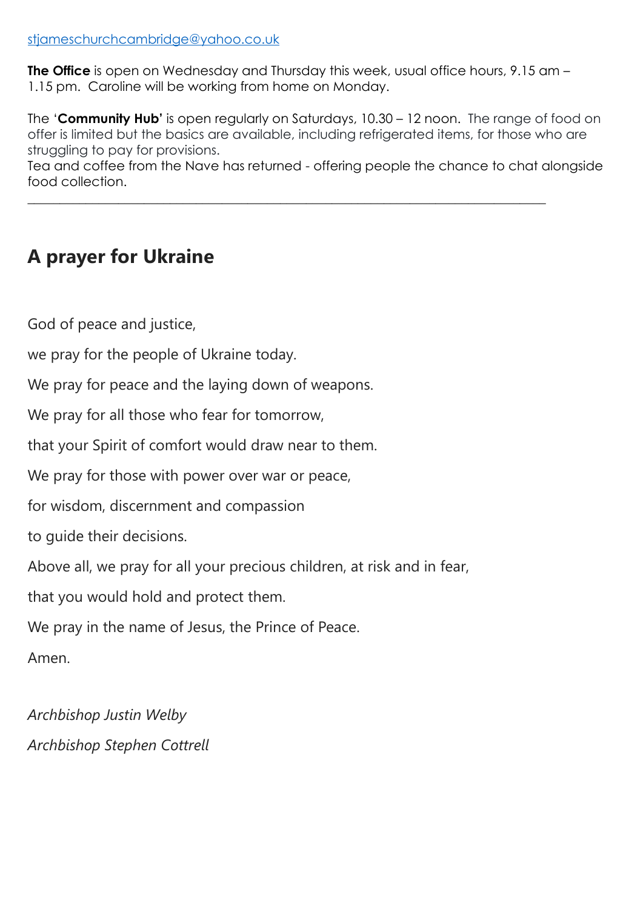**The Office** is open on Wednesday and Thursday this week, usual office hours, 9.15 am – 1.15 pm. Caroline will be working from home on Monday.

The '**Community Hub'** is open regularly on Saturdays, 10.30 – 12 noon. The range of food on offer is limited but the basics are available, including refrigerated items, for those who are struggling to pay for provisions.

Tea and coffee from the Nave has returned - offering people the chance to chat alongside food collection.

 $\_$  , and the set of the set of the set of the set of the set of the set of the set of the set of the set of the set of the set of the set of the set of the set of the set of the set of the set of the set of the set of th

# **A prayer for Ukraine**

God of peace and justice,

we pray for the people of Ukraine today.

We pray for peace and the laying down of weapons.

We pray for all those who fear for tomorrow,

that your Spirit of comfort would draw near to them.

We pray for those with power over war or peace,

for wisdom, discernment and compassion

to guide their decisions.

Above all, we pray for all your precious children, at risk and in fear,

that you would hold and protect them.

We pray in the name of Jesus, the Prince of Peace.

Amen.

*Archbishop Justin Welby Archbishop Stephen Cottrell*